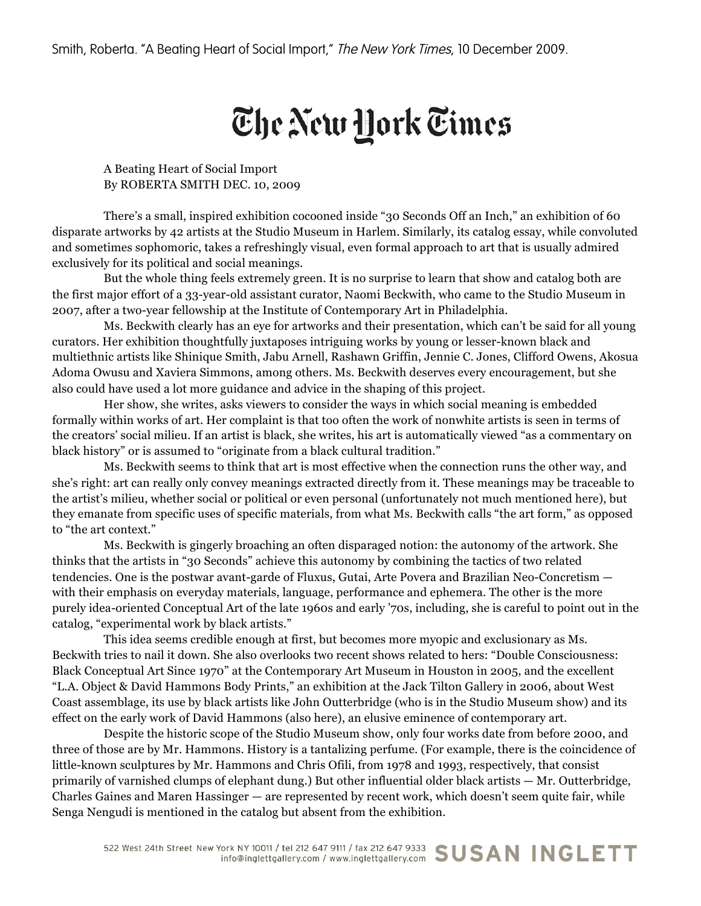## The New York Times

A Beating Heart of Social Import By ROBERTA SMITH DEC. 10, 2009

There's a small, inspired exhibition cocooned inside "30 Seconds Off an Inch," an exhibition of 60 disparate artworks by 42 artists at the Studio Museum in Harlem. Similarly, its catalog essay, while convoluted and sometimes sophomoric, takes a refreshingly visual, even formal approach to art that is usually admired exclusively for its political and social meanings.

But the whole thing feels extremely green. It is no surprise to learn that show and catalog both are the first major effort of a 33-year-old assistant curator, Naomi Beckwith, who came to the Studio Museum in 2007, after a two-year fellowship at the Institute of Contemporary Art in Philadelphia.

Ms. Beckwith clearly has an eye for artworks and their presentation, which can't be said for all young curators. Her exhibition thoughtfully juxtaposes intriguing works by young or lesser-known black and multiethnic artists like Shinique Smith, Jabu Arnell, Rashawn Griffin, Jennie C. Jones, Clifford Owens, Akosua Adoma Owusu and Xaviera Simmons, among others. Ms. Beckwith deserves every encouragement, but she also could have used a lot more guidance and advice in the shaping of this project.

Her show, she writes, asks viewers to consider the ways in which social meaning is embedded formally within works of art. Her complaint is that too often the work of nonwhite artists is seen in terms of the creators' social milieu. If an artist is black, she writes, his art is automatically viewed "as a commentary on black history" or is assumed to "originate from a black cultural tradition."

Ms. Beckwith seems to think that art is most effective when the connection runs the other way, and she's right: art can really only convey meanings extracted directly from it. These meanings may be traceable to the artist's milieu, whether social or political or even personal (unfortunately not much mentioned here), but they emanate from specific uses of specific materials, from what Ms. Beckwith calls "the art form," as opposed to "the art context."

Ms. Beckwith is gingerly broaching an often disparaged notion: the autonomy of the artwork. She thinks that the artists in "30 Seconds" achieve this autonomy by combining the tactics of two related tendencies. One is the postwar avant-garde of Fluxus, Gutai, Arte Povera and Brazilian Neo-Concretism with their emphasis on everyday materials, language, performance and ephemera. The other is the more purely idea-oriented Conceptual Art of the late 1960s and early '70s, including, she is careful to point out in the catalog, "experimental work by black artists."

This idea seems credible enough at first, but becomes more myopic and exclusionary as Ms. Beckwith tries to nail it down. She also overlooks two recent shows related to hers: "Double Consciousness: Black Conceptual Art Since 1970" at the Contemporary Art Museum in Houston in 2005, and the excellent "L.A. Object & David Hammons Body Prints," an exhibition at the Jack Tilton Gallery in 2006, about West Coast assemblage, its use by black artists like John Outterbridge (who is in the Studio Museum show) and its effect on the early work of David Hammons (also here), an elusive eminence of contemporary art.

Despite the historic scope of the Studio Museum show, only four works date from before 2000, and three of those are by Mr. Hammons. History is a tantalizing perfume. (For example, there is the coincidence of little-known sculptures by Mr. Hammons and Chris Ofili, from 1978 and 1993, respectively, that consist primarily of varnished clumps of elephant dung.) But other influential older black artists — Mr. Outterbridge, Charles Gaines and Maren Hassinger — are represented by recent work, which doesn't seem quite fair, while Senga Nengudi is mentioned in the catalog but absent from the exhibition.